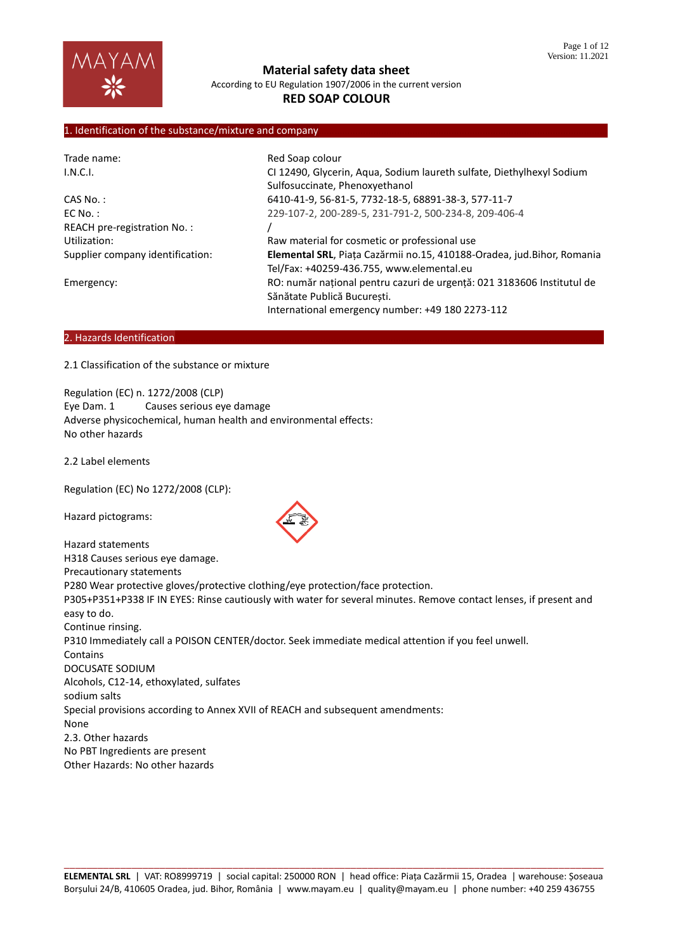

# **RED SOAP COLOUR**

# 1. Identification of the substance/mixture and company

| Trade name:                      | Red Soap colour                                                        |
|----------------------------------|------------------------------------------------------------------------|
| I.N.C.I.                         | CI 12490, Glycerin, Aqua, Sodium laureth sulfate, Diethylhexyl Sodium  |
|                                  | Sulfosuccinate, Phenoxyethanol                                         |
| $CAS No.$ :                      | 6410-41-9, 56-81-5, 7732-18-5, 68891-38-3, 577-11-7                    |
| $EC$ No.:                        | 229-107-2, 200-289-5, 231-791-2, 500-234-8, 209-406-4                  |
| REACH pre-registration No.:      |                                                                        |
| Utilization:                     | Raw material for cosmetic or professional use                          |
| Supplier company identification: | Elemental SRL, Piața Cazărmii no.15, 410188-Oradea, jud.Bihor, Romania |
|                                  | Tel/Fax: +40259-436.755, www.elemental.eu                              |
| Emergency:                       | RO: număr național pentru cazuri de urgență: 021 3183606 Institutul de |
|                                  | Sănătate Publică București.                                            |
|                                  | International emergency number: +49 180 2273-112                       |

#### 2. Hazards Identification

2.1 Classification of the substance or mixture

Regulation (EC) n. 1272/2008 (CLP) Eye Dam. 1 Causes serious eye damage Adverse physicochemical, human health and environmental effects: No other hazards

2.2 Label elements

Regulation (EC) No 1272/2008 (CLP):

Hazard pictograms:

Hazard statements H318 Causes serious eye damage. Precautionary statements P280 Wear protective gloves/protective clothing/eye protection/face protection. P305+P351+P338 IF IN EYES: Rinse cautiously with water for several minutes. Remove contact lenses, if present and easy to do. Continue rinsing. P310 Immediately call a POISON CENTER/doctor. Seek immediate medical attention if you feel unwell. **Contains** DOCUSATE SODIUM Alcohols, C12-14, ethoxylated, sulfates sodium salts Special provisions according to Annex XVII of REACH and subsequent amendments: None 2.3. Other hazards No PBT Ingredients are present Other Hazards: No other hazards

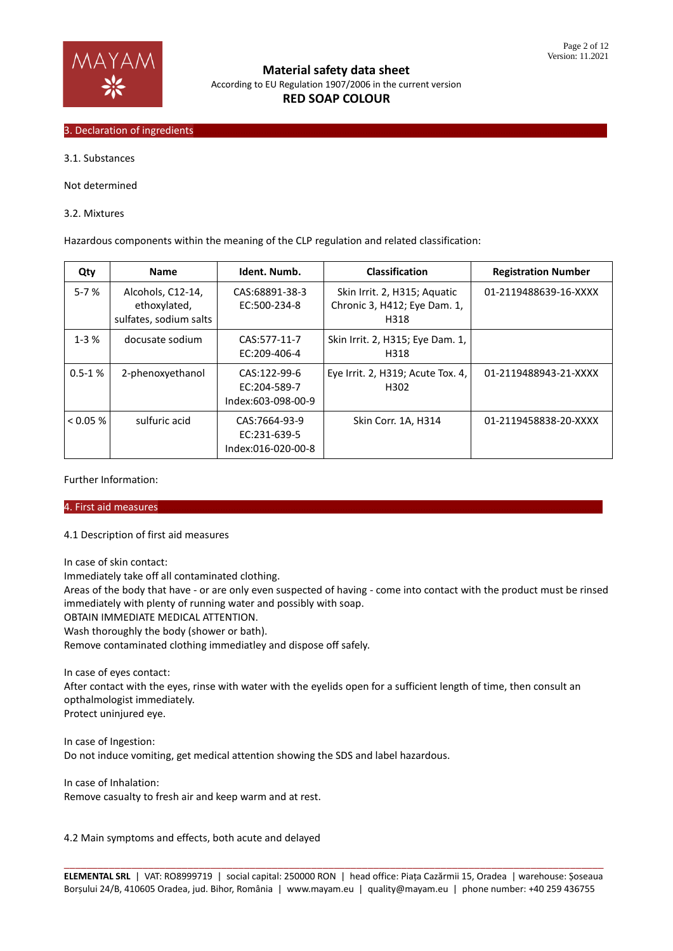

### 3. Declaration of ingredients

3.1. Substances

Not determined

3.2. Mixtures

Hazardous components within the meaning of the CLP regulation and related classification:

| Qty        | <b>Name</b>                                                 | Ident. Numb.                                        | <b>Classification</b>                                                | <b>Registration Number</b> |
|------------|-------------------------------------------------------------|-----------------------------------------------------|----------------------------------------------------------------------|----------------------------|
| $5 - 7%$   | Alcohols, C12-14,<br>ethoxylated,<br>sulfates, sodium salts | CAS:68891-38-3<br>EC:500-234-8                      | Skin Irrit. 2, H315; Aquatic<br>Chronic 3, H412; Eye Dam. 1,<br>H318 | 01-2119488639-16-XXXX      |
| $1-3%$     | docusate sodium                                             | CAS:577-11-7<br>EC:209-406-4                        | Skin Irrit. 2, H315; Eye Dam. 1,<br>H318                             |                            |
| $0.5 - 1%$ | 2-phenoxyethanol                                            | CAS:122-99-6<br>EC:204-589-7<br>Index:603-098-00-9  | Eye Irrit. 2, H319; Acute Tox. 4,<br>H302                            | 01-2119488943-21-XXXX      |
| $< 0.05\%$ | sulfuric acid                                               | CAS:7664-93-9<br>EC:231-639-5<br>Index:016-020-00-8 | Skin Corr. 1A, H314                                                  | 01-2119458838-20-XXXX      |

Further Information:

4. First aid measures………………………………………………………………………………………………………………………………………………………

4.1 Description of first aid measures

In case of skin contact:

Immediately take off all contaminated clothing.

Areas of the body that have - or are only even suspected of having - come into contact with the product must be rinsed immediately with plenty of running water and possibly with soap.

OBTAIN IMMEDIATE MEDICAL ATTENTION.

Wash thoroughly the body (shower or bath).

Remove contaminated clothing immediatley and dispose off safely.

In case of eyes contact:

After contact with the eyes, rinse with water with the eyelids open for a sufficient length of time, then consult an opthalmologist immediately.

Protect uninjured eye.

In case of Ingestion: Do not induce vomiting, get medical attention showing the SDS and label hazardous.

In case of Inhalation: Remove casualty to fresh air and keep warm and at rest.

4.2 Main symptoms and effects, both acute and delayed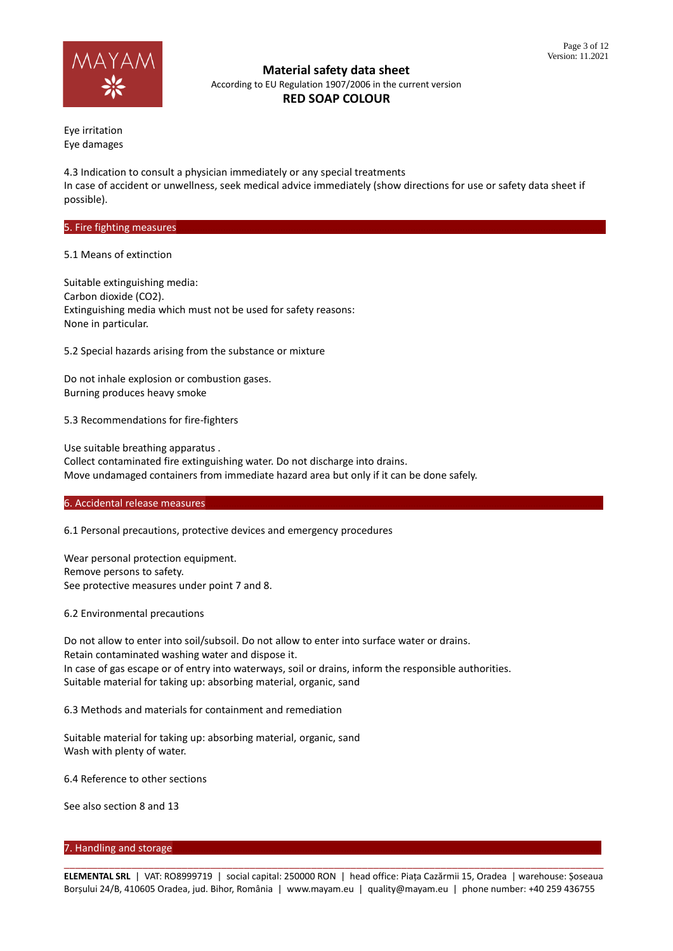

# **RED SOAP COLOUR**

Eye irritation Eye damages

4.3 Indication to consult a physician immediately or any special treatments In case of accident or unwellness, seek medical advice immediately (show directions for use or safety data sheet if possible).

## 5. Fire fighting measures

5.1 Means of extinction

Suitable extinguishing media: Carbon dioxide (CO2). Extinguishing media which must not be used for safety reasons: None in particular.

5.2 Special hazards arising from the substance or mixture

Do not inhale explosion or combustion gases. Burning produces heavy smoke

5.3 Recommendations for fire-fighters

Use suitable breathing apparatus . Collect contaminated fire extinguishing water. Do not discharge into drains. Move undamaged containers from immediate hazard area but only if it can be done safely.

6. Accidental release measures

6.1 Personal precautions, protective devices and emergency procedures

Wear personal protection equipment. Remove persons to safety. See protective measures under point 7 and 8.

6.2 Environmental precautions

Do not allow to enter into soil/subsoil. Do not allow to enter into surface water or drains. Retain contaminated washing water and dispose it. In case of gas escape or of entry into waterways, soil or drains, inform the responsible authorities. Suitable material for taking up: absorbing material, organic, sand

6.3 Methods and materials for containment and remediation

Suitable material for taking up: absorbing material, organic, sand Wash with plenty of water.

6.4 Reference to other sections

See also section 8 and 13

## 7. Handling and storage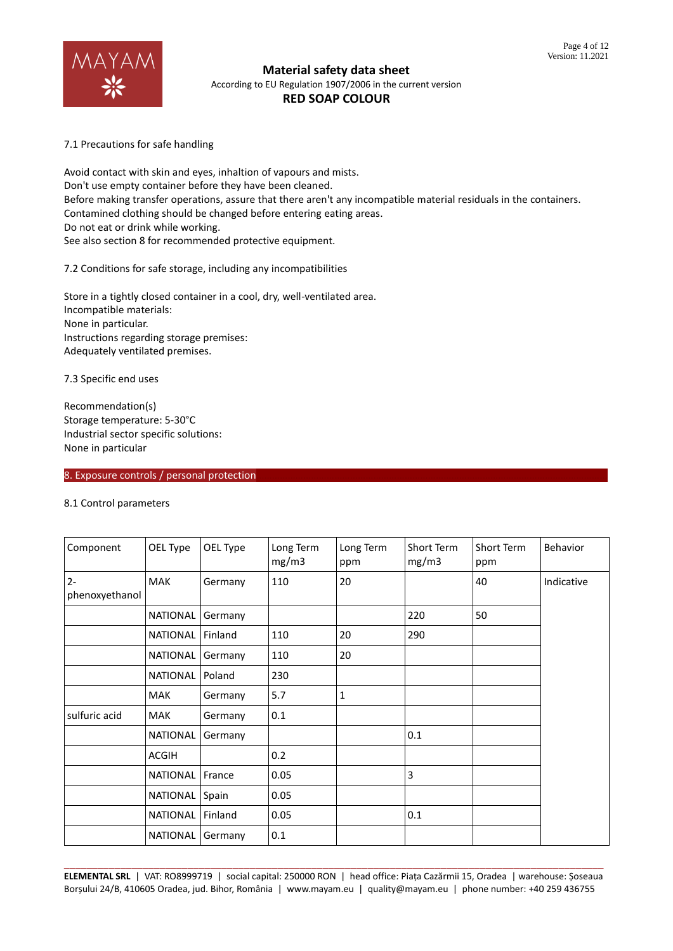

7.1 Precautions for safe handling

Avoid contact with skin and eyes, inhaltion of vapours and mists. Don't use empty container before they have been cleaned. Before making transfer operations, assure that there aren't any incompatible material residuals in the containers. Contamined clothing should be changed before entering eating areas. Do not eat or drink while working. See also section 8 for recommended protective equipment.

7.2 Conditions for safe storage, including any incompatibilities

Store in a tightly closed container in a cool, dry, well-ventilated area. Incompatible materials: None in particular. Instructions regarding storage premises: Adequately ventilated premises.

7.3 Specific end uses

Recommendation(s) Storage temperature: 5-30°C Industrial sector specific solutions: None in particular

8. Exposure controls / personal protection

#### 8.1 Control parameters

| Component               | OEL Type        | OEL Type | Long Term<br>mg/m3 | Long Term<br>ppm | Short Term<br>mg/m3 | Short Term<br>ppm | Behavior   |
|-------------------------|-----------------|----------|--------------------|------------------|---------------------|-------------------|------------|
| $2 -$<br>phenoxyethanol | <b>MAK</b>      | Germany  | 110                | 20               |                     | 40                | Indicative |
|                         |                 |          |                    |                  |                     |                   |            |
|                         | <b>NATIONAL</b> | Germany  |                    |                  | 220                 | 50                |            |
|                         | <b>NATIONAL</b> | Finland  | 110                | 20               | 290                 |                   |            |
|                         | <b>NATIONAL</b> | Germany  | 110                | 20               |                     |                   |            |
|                         | <b>NATIONAL</b> | Poland   | 230                |                  |                     |                   |            |
|                         | <b>MAK</b>      | Germany  | 5.7                | 1                |                     |                   |            |
| sulfuric acid           | <b>MAK</b>      | Germany  | 0.1                |                  |                     |                   |            |
|                         | <b>NATIONAL</b> | Germany  |                    |                  | 0.1                 |                   |            |
|                         | <b>ACGIH</b>    |          | 0.2                |                  |                     |                   |            |
|                         | <b>NATIONAL</b> | France   | 0.05               |                  | 3                   |                   |            |
|                         | <b>NATIONAL</b> | Spain    | 0.05               |                  |                     |                   |            |
|                         | <b>NATIONAL</b> | Finland  | 0.05               |                  | 0.1                 |                   |            |
|                         | <b>NATIONAL</b> | Germany  | 0.1                |                  |                     |                   |            |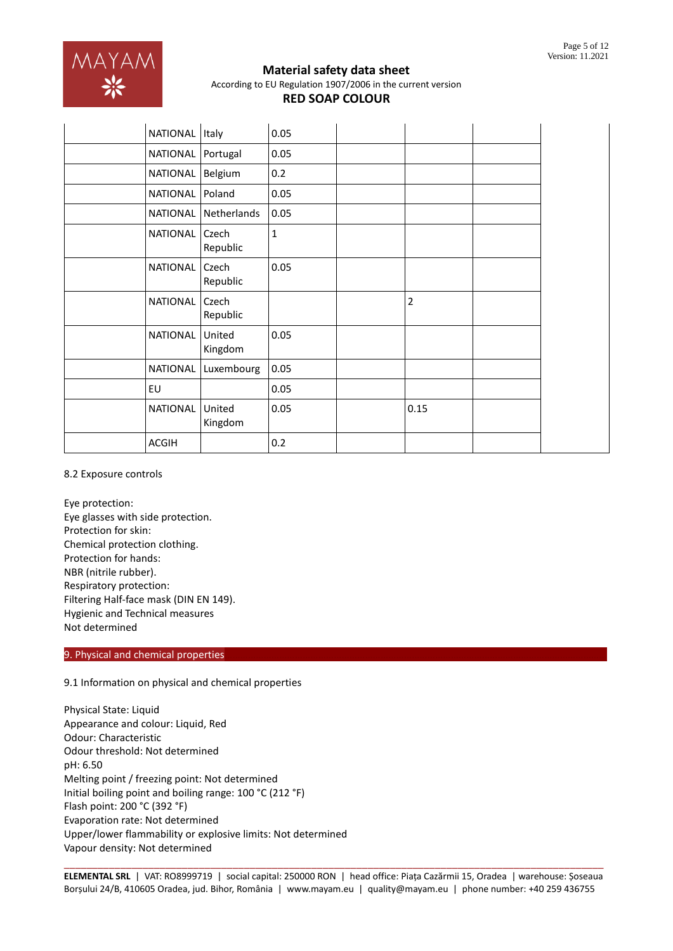

| NATIONAL        | Italy             | 0.05        |      |  |
|-----------------|-------------------|-------------|------|--|
| NATIONAL        | Portugal          | 0.05        |      |  |
| NATIONAL        | Belgium           | 0.2         |      |  |
| NATIONAL        | Poland            | 0.05        |      |  |
| NATIONAL        | Netherlands       | 0.05        |      |  |
| NATIONAL        | Czech<br>Republic | $\mathbf 1$ |      |  |
| <b>NATIONAL</b> | Czech<br>Republic | 0.05        |      |  |
| <b>NATIONAL</b> | Czech<br>Republic |             | 2    |  |
| <b>NATIONAL</b> | United<br>Kingdom | 0.05        |      |  |
| <b>NATIONAL</b> | Luxembourg        | 0.05        |      |  |
| EU              |                   | 0.05        |      |  |
| NATIONAL        | United<br>Kingdom | 0.05        | 0.15 |  |
| <b>ACGIH</b>    |                   | 0.2         |      |  |

## 8.2 Exposure controls

Eye protection: Eye glasses with side protection. Protection for skin: Chemical protection clothing. Protection for hands: NBR (nitrile rubber). Respiratory protection: Filtering Half-face mask (DIN EN 149). Hygienic and Technical measures Not determined

## 9. Physical and chemical properties

## 9.1 Information on physical and chemical properties

Physical State: Liquid Appearance and colour: Liquid, Red Odour: Characteristic Odour threshold: Not determined pH: 6.50 Melting point / freezing point: Not determined Initial boiling point and boiling range: 100 °C (212 °F) Flash point: 200 °C (392 °F) Evaporation rate: Not determined Upper/lower flammability or explosive limits: Not determined Vapour density: Not determined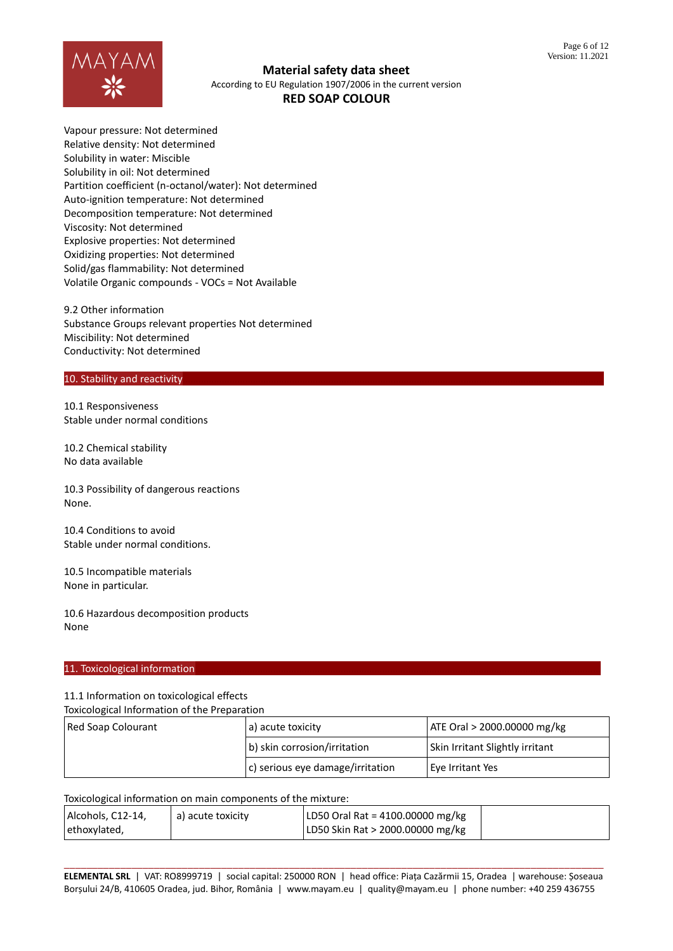

Vapour pressure: Not determined Relative density: Not determined Solubility in water: Miscible Solubility in oil: Not determined Partition coefficient (n-octanol/water): Not determined Auto-ignition temperature: Not determined Decomposition temperature: Not determined Viscosity: Not determined Explosive properties: Not determined Oxidizing properties: Not determined Solid/gas flammability: Not determined Volatile Organic compounds - VOCs = Not Available

9.2 Other information Substance Groups relevant properties Not determined Miscibility: Not determined Conductivity: Not determined

### 10. Stability and reactivity

10.1 Responsiveness Stable under normal conditions

10.2 Chemical stability No data available

10.3 Possibility of dangerous reactions None.

10.4 Conditions to avoid Stable under normal conditions.

10.5 Incompatible materials None in particular.

10.6 Hazardous decomposition products None

#### 11. Toxicological information

11.1 Information on toxicological effects

Toxicological Information of the Preparation

| Red Soap Colourant | a) acute toxicity                        | ATE Oral > 2000.00000 mg/kg            |  |
|--------------------|------------------------------------------|----------------------------------------|--|
|                    | b) skin corrosion/irritation             | <b>Skin Irritant Slightly irritant</b> |  |
|                    | $\vert$ c) serious eye damage/irritation | Eye Irritant Yes                       |  |

#### Toxicological information on main components of the mixture:

| Alcohols, C12-14, | a) acute toxicity | LD50 Oral Rat = 4100.00000 mg/kg |  |
|-------------------|-------------------|----------------------------------|--|
| ethoxylated,      |                   | LD50 Skin Rat > 2000.00000 mg/kg |  |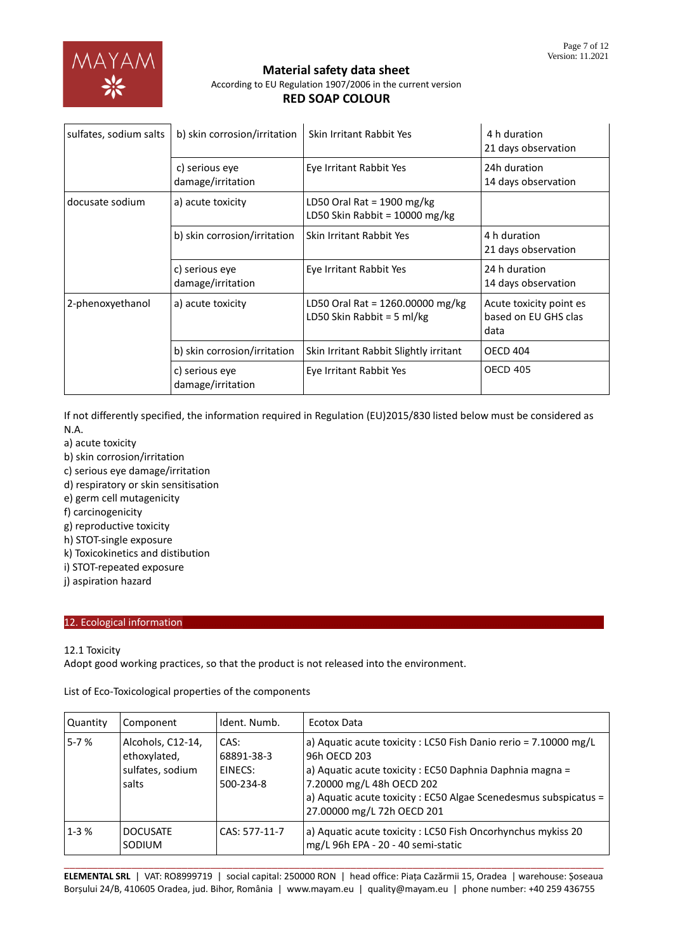| sulfates, sodium salts<br>b) skin corrosion/irritation |                                     | Skin Irritant Rabbit Yes                                       | 4 h duration<br>21 days observation                     |
|--------------------------------------------------------|-------------------------------------|----------------------------------------------------------------|---------------------------------------------------------|
|                                                        | c) serious eye<br>damage/irritation | Eye Irritant Rabbit Yes                                        | 24h duration<br>14 days observation                     |
| docusate sodium                                        | a) acute toxicity                   | LD50 Oral Rat = 1900 mg/kg<br>LD50 Skin Rabbit = $10000$ mg/kg |                                                         |
|                                                        | b) skin corrosion/irritation        | Skin Irritant Rabbit Yes                                       | 4 h duration<br>21 days observation                     |
|                                                        | c) serious eye<br>damage/irritation | Eye Irritant Rabbit Yes                                        | 24 h duration<br>14 days observation                    |
| 2-phenoxyethanol                                       | a) acute toxicity                   | LD50 Oral Rat = 1260.00000 mg/kg<br>LD50 Skin Rabbit = 5 ml/kg | Acute toxicity point es<br>based on EU GHS clas<br>data |
|                                                        | b) skin corrosion/irritation        | Skin Irritant Rabbit Slightly irritant                         | <b>OECD 404</b>                                         |
|                                                        | c) serious eye<br>damage/irritation | Eye Irritant Rabbit Yes                                        | <b>OECD 405</b>                                         |

If not differently specified, the information required in Regulation (EU)2015/830 listed below must be considered as N.A.

- a) acute toxicity
- b) skin corrosion/irritation
- c) serious eye damage/irritation
- d) respiratory or skin sensitisation
- e) germ cell mutagenicity
- f) carcinogenicity
- g) reproductive toxicity
- h) STOT-single exposure
- k) Toxicokinetics and distibution
- i) STOT-repeated exposure
- j) aspiration hazard

# 12. Ecological information

# 12.1 Toxicity

Adopt good working practices, so that the product is not released into the environment.

List of Eco-Toxicological properties of the components

| Quantity | Component                                                      | Ident. Numb.                               | Ecotox Data                                                                                                                                                                                                                                                                 |
|----------|----------------------------------------------------------------|--------------------------------------------|-----------------------------------------------------------------------------------------------------------------------------------------------------------------------------------------------------------------------------------------------------------------------------|
| $5 - 7%$ | Alcohols, C12-14,<br>ethoxylated,<br>sulfates, sodium<br>salts | CAS:<br>68891-38-3<br>EINECS:<br>500-234-8 | a) Aquatic acute toxicity : LC50 Fish Danio rerio = 7.10000 mg/L<br>96h OECD 203<br>a) Aquatic acute toxicity : EC50 Daphnia Daphnia magna =<br>7.20000 mg/L 48h OECD 202<br>a) Aquatic acute toxicity : EC50 Algae Scenedesmus subspicatus =<br>27.00000 mg/L 72h OECD 201 |
| $1 - 3%$ | <b>DOCUSATE</b><br>SODIUM                                      | CAS: 577-11-7                              | a) Aquatic acute toxicity : LC50 Fish Oncorhynchus mykiss 20<br>mg/L 96h EPA - 20 - 40 semi-static                                                                                                                                                                          |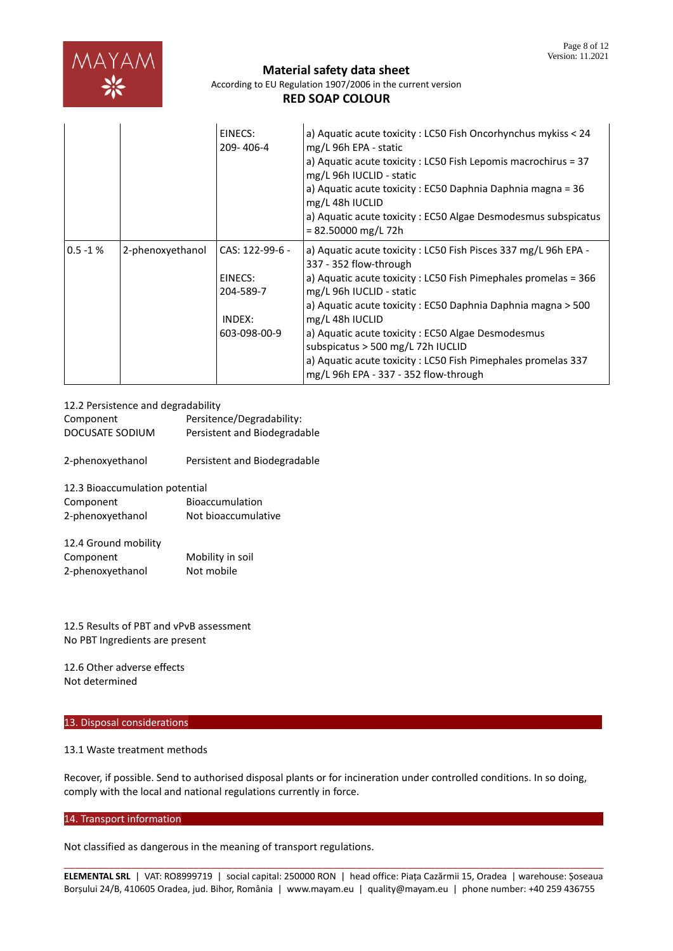

# **Material safety data sheet**

According to EU Regulation 1907/2006 in the current version

# **RED SOAP COLOUR**

|            |                  | EINECS:<br>209-406-4                                              | a) Aquatic acute toxicity : LC50 Fish Oncorhynchus mykiss < 24<br>mg/L 96h EPA - static<br>a) Aquatic acute toxicity : LC50 Fish Lepomis macrochirus = 37<br>mg/L 96h IUCLID - static<br>a) Aquatic acute toxicity : EC50 Daphnia Daphnia magna = 36<br>mg/L 48h IUCLID<br>a) Aquatic acute toxicity: EC50 Algae Desmodesmus subspicatus<br>$= 82.50000$ mg/L 72h                                                                                                                 |
|------------|------------------|-------------------------------------------------------------------|-----------------------------------------------------------------------------------------------------------------------------------------------------------------------------------------------------------------------------------------------------------------------------------------------------------------------------------------------------------------------------------------------------------------------------------------------------------------------------------|
| $0.5 - 1%$ | 2-phenoxyethanol | CAS: 122-99-6 -<br>EINECS:<br>204-589-7<br>INDEX:<br>603-098-00-9 | a) Aquatic acute toxicity : LC50 Fish Pisces 337 mg/L 96h EPA -<br>337 - 352 flow-through<br>a) Aquatic acute toxicity : LC50 Fish Pimephales promelas = 366<br>mg/L 96h IUCLID - static<br>a) Aquatic acute toxicity : EC50 Daphnia Daphnia magna > 500<br>mg/L 48h IUCLID<br>a) Aquatic acute toxicity: EC50 Algae Desmodesmus<br>subspicatus $>$ 500 mg/L 72h IUCLID<br>a) Aquatic acute toxicity : LC50 Fish Pimephales promelas 337<br>mg/L 96h EPA - 337 - 352 flow-through |

12.2 Persistence and degradability Component Persitence/Degradability: DOCUSATE SODIUM Persistent and Biodegradable 2-phenoxyethanol Persistent and Biodegradable 12.3 Bioaccumulation potential Component Bioaccumulation 2-phenoxyethanol Not bioaccumulative

| <b>IZ.4 OF QUILE HODING</b> |                  |
|-----------------------------|------------------|
| Component                   | Mobility in soil |
| 2-phenoxyethanol            | Not mobile       |

12.5 Results of PBT and vPvB assessment No PBT Ingredients are present

12.6 Other adverse effects Not determined

 $12.4$  Ground mobility.

## 13. Disposal considerations

13.1 Waste treatment methods

Recover, if possible. Send to authorised disposal plants or for incineration under controlled conditions. In so doing, comply with the local and national regulations currently in force.

## 14. Transport information

Not classified as dangerous in the meaning of transport regulations.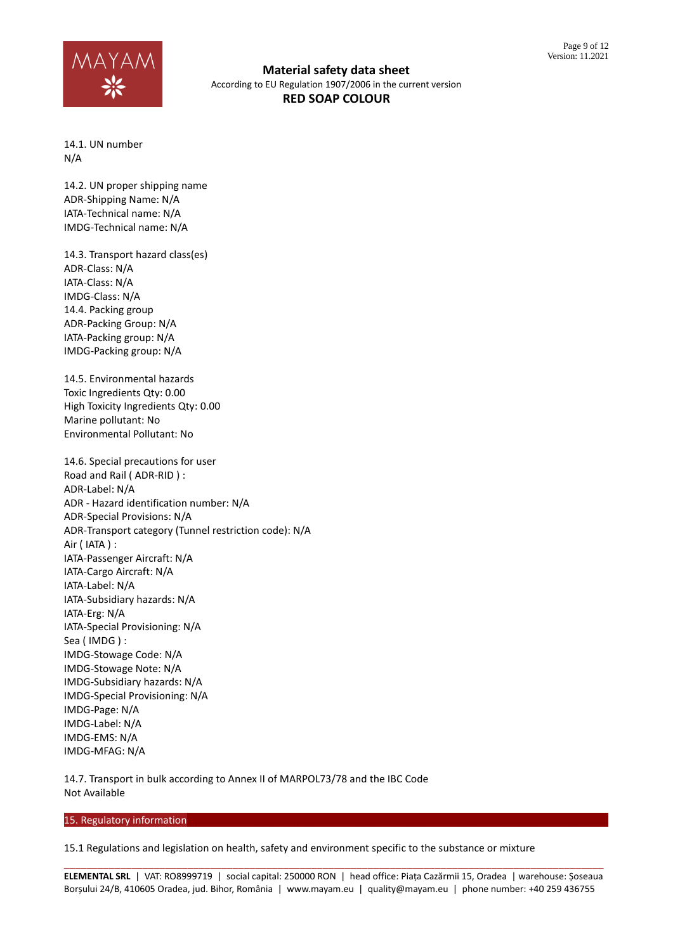

14.1. UN number N/A

14.2. UN proper shipping name ADR-Shipping Name: N/A IATA-Technical name: N/A IMDG-Technical name: N/A

14.3. Transport hazard class(es) ADR-Class: N/A IATA-Class: N/A IMDG-Class: N/A 14.4. Packing group ADR-Packing Group: N/A IATA-Packing group: N/A IMDG-Packing group: N/A

14.5. Environmental hazards Toxic Ingredients Qty: 0.00 High Toxicity Ingredients Qty: 0.00 Marine pollutant: No Environmental Pollutant: No

14.6. Special precautions for user Road and Rail ( ADR-RID ) : ADR-Label: N/A ADR - Hazard identification number: N/A ADR-Special Provisions: N/A ADR-Transport category (Tunnel restriction code): N/A Air ( IATA ) : IATA-Passenger Aircraft: N/A IATA-Cargo Aircraft: N/A IATA-Label: N/A IATA-Subsidiary hazards: N/A IATA-Erg: N/A IATA-Special Provisioning: N/A Sea ( IMDG ) : IMDG-Stowage Code: N/A IMDG-Stowage Note: N/A IMDG-Subsidiary hazards: N/A IMDG-Special Provisioning: N/A IMDG-Page: N/A IMDG-Label: N/A IMDG-EMS: N/A IMDG-MFAG: N/A

14.7. Transport in bulk according to Annex II of MARPOL73/78 and the IBC Code Not Available

## 15. Regulatory information

15.1 Regulations and legislation on health, safety and environment specific to the substance or mixture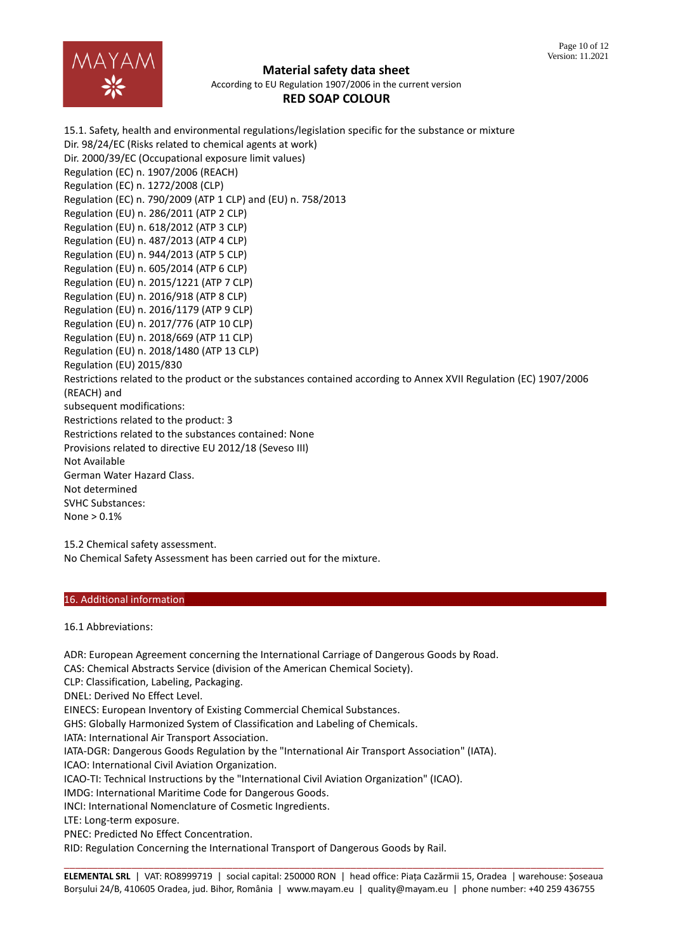

#### **Material safety data sheet**

According to EU Regulation 1907/2006 in the current version

# **RED SOAP COLOUR**

15.1. Safety, health and environmental regulations/legislation specific for the substance or mixture Dir. 98/24/EC (Risks related to chemical agents at work) Dir. 2000/39/EC (Occupational exposure limit values) Regulation (EC) n. 1907/2006 (REACH) Regulation (EC) n. 1272/2008 (CLP) Regulation (EC) n. 790/2009 (ATP 1 CLP) and (EU) n. 758/2013 Regulation (EU) n. 286/2011 (ATP 2 CLP) Regulation (EU) n. 618/2012 (ATP 3 CLP) Regulation (EU) n. 487/2013 (ATP 4 CLP) Regulation (EU) n. 944/2013 (ATP 5 CLP) Regulation (EU) n. 605/2014 (ATP 6 CLP) Regulation (EU) n. 2015/1221 (ATP 7 CLP) Regulation (EU) n. 2016/918 (ATP 8 CLP) Regulation (EU) n. 2016/1179 (ATP 9 CLP) Regulation (EU) n. 2017/776 (ATP 10 CLP) Regulation (EU) n. 2018/669 (ATP 11 CLP) Regulation (EU) n. 2018/1480 (ATP 13 CLP) Regulation (EU) 2015/830 Restrictions related to the product or the substances contained according to Annex XVII Regulation (EC) 1907/2006 (REACH) and subsequent modifications: Restrictions related to the product: 3 Restrictions related to the substances contained: None Provisions related to directive EU 2012/18 (Seveso III) Not Available German Water Hazard Class. Not determined SVHC Substances: None > 0.1%

15.2 Chemical safety assessment. No Chemical Safety Assessment has been carried out for the mixture.

## 16. Additional information

16.1 Abbreviations:

ADR: European Agreement concerning the International Carriage of Dangerous Goods by Road.

CAS: Chemical Abstracts Service (division of the American Chemical Society).

CLP: Classification, Labeling, Packaging.

DNEL: Derived No Effect Level.

EINECS: European Inventory of Existing Commercial Chemical Substances.

GHS: Globally Harmonized System of Classification and Labeling of Chemicals.

IATA: International Air Transport Association.

IATA-DGR: Dangerous Goods Regulation by the "International Air Transport Association" (IATA).

ICAO: International Civil Aviation Organization.

ICAO-TI: Technical Instructions by the "International Civil Aviation Organization" (ICAO).

IMDG: International Maritime Code for Dangerous Goods.

INCI: International Nomenclature of Cosmetic Ingredients.

LTE: Long-term exposure.

PNEC: Predicted No Effect Concentration.

RID: Regulation Concerning the International Transport of Dangerous Goods by Rail.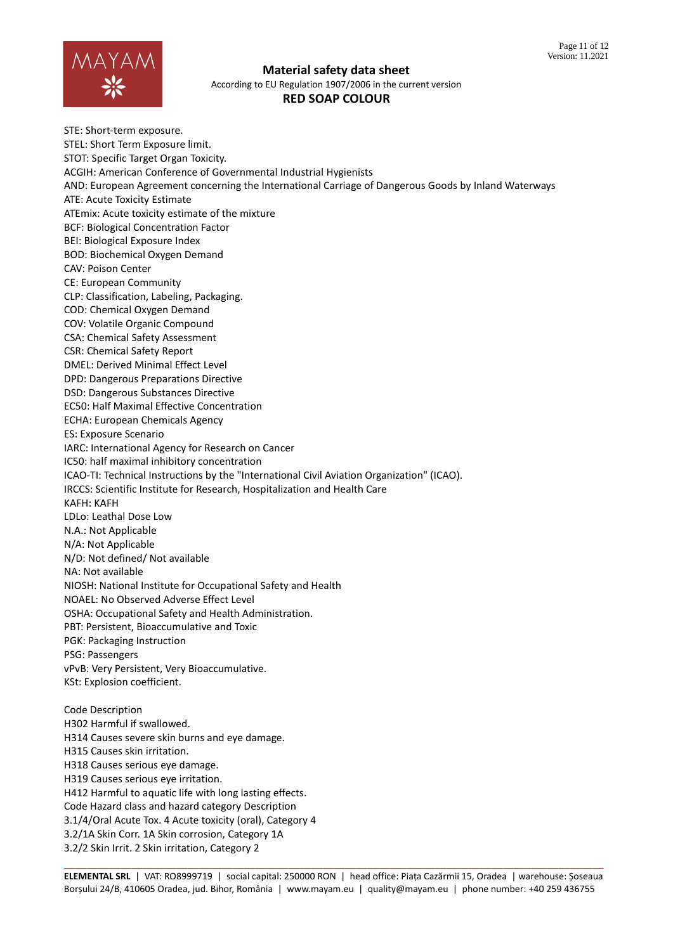

**Material safety data sheet**

According to EU Regulation 1907/2006 in the current version

# **RED SOAP COLOUR**

STE: Short-term exposure. STEL: Short Term Exposure limit. STOT: Specific Target Organ Toxicity. ACGIH: American Conference of Governmental Industrial Hygienists AND: European Agreement concerning the International Carriage of Dangerous Goods by Inland Waterways ATE: Acute Toxicity Estimate ATEmix: Acute toxicity estimate of the mixture BCF: Biological Concentration Factor BEI: Biological Exposure Index BOD: Biochemical Oxygen Demand CAV: Poison Center CE: European Community CLP: Classification, Labeling, Packaging. COD: Chemical Oxygen Demand COV: Volatile Organic Compound CSA: Chemical Safety Assessment CSR: Chemical Safety Report DMEL: Derived Minimal Effect Level DPD: Dangerous Preparations Directive DSD: Dangerous Substances Directive EC50: Half Maximal Effective Concentration ECHA: European Chemicals Agency ES: Exposure Scenario IARC: International Agency for Research on Cancer IC50: half maximal inhibitory concentration ICAO-TI: Technical Instructions by the "International Civil Aviation Organization" (ICAO). IRCCS: Scientific Institute for Research, Hospitalization and Health Care KAFH: KAFH LDLo: Leathal Dose Low N.A.: Not Applicable N/A: Not Applicable N/D: Not defined/ Not available NA: Not available NIOSH: National Institute for Occupational Safety and Health NOAEL: No Observed Adverse Effect Level OSHA: Occupational Safety and Health Administration. PBT: Persistent, Bioaccumulative and Toxic PGK: Packaging Instruction PSG: Passengers vPvB: Very Persistent, Very Bioaccumulative. KSt: Explosion coefficient. Code Description H302 Harmful if swallowed. H314 Causes severe skin burns and eye damage. H315 Causes skin irritation. H318 Causes serious eye damage. H319 Causes serious eye irritation. H412 Harmful to aquatic life with long lasting effects. Code Hazard class and hazard category Description 3.1/4/Oral Acute Tox. 4 Acute toxicity (oral), Category 4 3.2/1A Skin Corr. 1A Skin corrosion, Category 1A 3.2/2 Skin Irrit. 2 Skin irritation, Category 2